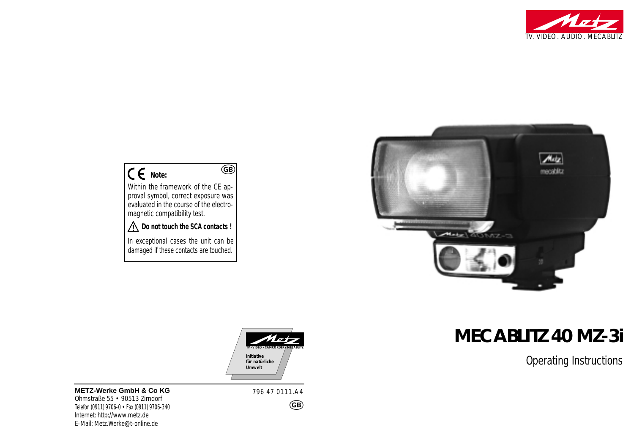



# **MECABLITZ 40 MZ-3i**

Operating Instructions

# **Note:**

Within the framework of the CE approval symbol, correct exposure was evaluated in the course of the electromagnetic compatibility test.

 $\overline{GB}$ 

#### **Do not touch the SCA contacts !**

In exceptional cases the unit can be damaged if these contacts are touched.



**METZ-Werke GmbH & Co KG** Ohmstraße 55 • 90513 Zirndorf Telefon (0911) 9706-0 • Fax (0911) 9706-340 Internet: http://www.metz.de E-Mail: Metz.Werke@t-online.de

796 47 0111.A4

GB)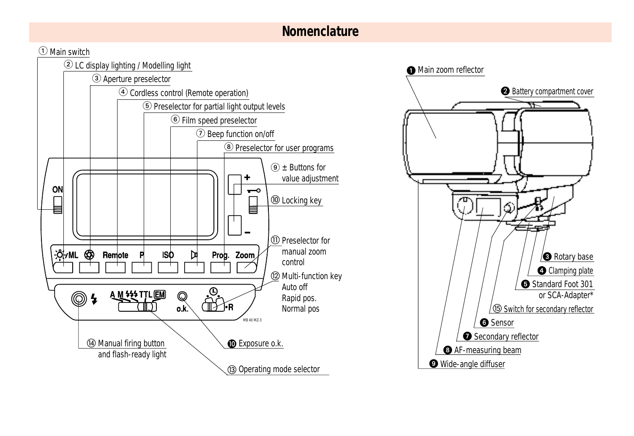# **Nomenclature**

#### $\textcircled{\small{1}}$  Main switch



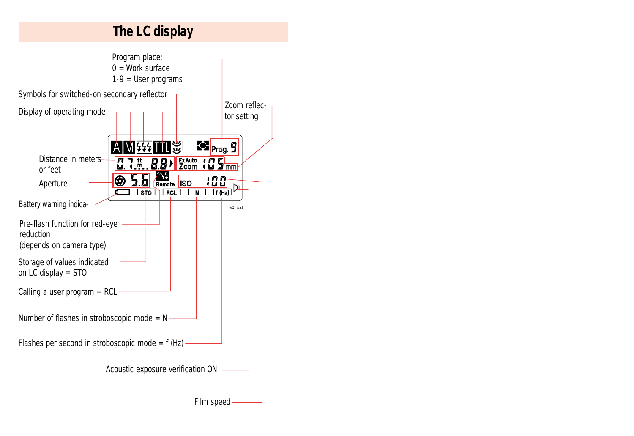# **The LC display**

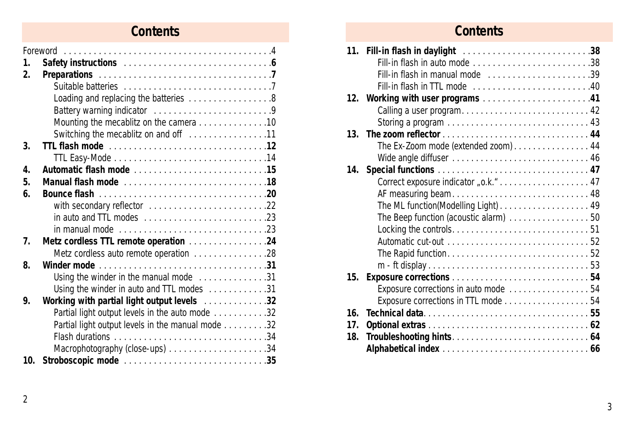# **Contents**

| 1.              |                                                   |
|-----------------|---------------------------------------------------|
| 2.              |                                                   |
|                 |                                                   |
|                 | Loading and replacing the batteries 8             |
|                 | Battery warning indicator 9                       |
|                 | Mounting the mecablitz on the camera 10           |
|                 |                                                   |
| 3.              |                                                   |
|                 |                                                   |
| 4.              |                                                   |
| 5.              |                                                   |
| 6.              |                                                   |
|                 |                                                   |
|                 |                                                   |
|                 |                                                   |
| $\overline{1}$  | Metz cordless TTL remote operation 24             |
|                 | Metz cordless auto remote operation 28            |
| 8.              |                                                   |
|                 | Using the winder in the manual mode 31            |
|                 | Using the winder in auto and TTL modes 31         |
| 9.              | Working with partial light output levels 32       |
|                 | Partial light output levels in the auto mode 32   |
|                 | Partial light output levels in the manual mode 32 |
|                 |                                                   |
|                 |                                                   |
| 10 <sub>1</sub> |                                                   |

# **Contents**

|                 | Fill-in flash in auto mode 38         |
|-----------------|---------------------------------------|
|                 | Fill-in flash in manual mode 39       |
|                 |                                       |
|                 | 12. Working with user programs 41     |
|                 | Calling a user program 42             |
|                 |                                       |
| 13 <sup>1</sup> |                                       |
|                 | The Ex-Zoom mode (extended zoom) 44   |
|                 |                                       |
|                 |                                       |
|                 |                                       |
|                 | AF measuring beam 48                  |
|                 | The ML function(Modelling Light) 49   |
|                 | The Beep function (acoustic alarm) 50 |
|                 |                                       |
|                 |                                       |
|                 |                                       |
|                 |                                       |
| 15.             |                                       |
|                 | Exposure corrections in auto mode  54 |
|                 | Exposure corrections in TTL mode 54   |
| 16 <sub>1</sub> |                                       |
| 17.             |                                       |
| 18.             |                                       |
|                 |                                       |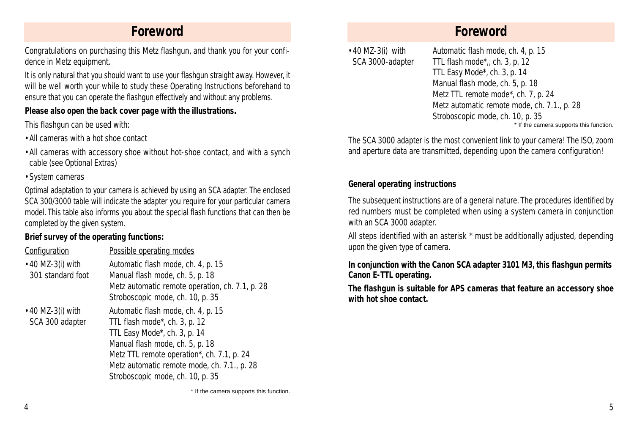## **Foreword**

Congratulations on purchasing this Metz flashgun, and thank you for your confidence in Metz equipment.

It is only natural that you should want to use your flashgun straight away. However, it will be well worth your while to study these Operating Instructions beforehand to ensure that you can operate the flashgun effectively and without any problems.

#### **Please also open the back cover page with the illustrations.**

This flashgun can be used with:

- •All cameras with a hot shoe contact
- •All cameras with accessory shoe without hot-shoe contact, and with a synch cable (see Optional Extras)
- •System cameras

Optimal adaptation to your camera is achieved by using an SCA adapter. The enclosed SCA 300/3000 table will indicate the adapter you require for your particular camera model. This table also informs you about the special flash functions that can then be completed by the given system.

#### **Brief survey of the operating functions:**

| Configuration                                | Possible operating modes                                                                                                                                                                                                                                                |
|----------------------------------------------|-------------------------------------------------------------------------------------------------------------------------------------------------------------------------------------------------------------------------------------------------------------------------|
| $\cdot$ 40 MZ-3(i) with<br>301 standard foot | Automatic flash mode, ch. 4, p. 15<br>Manual flash mode, ch. 5, p. 18<br>Metz automatic remote operation, ch. 7.1, p. 28<br>Stroboscopic mode, ch. 10, p. 35                                                                                                            |
| $\bullet$ 40 MZ-3(i) with<br>SCA 300 adapter | Automatic flash mode, ch. 4, p. 15<br>TTL flash mode*, ch. 3, p. 12<br>TTL Easy Mode*, ch. 3, p. 14<br>Manual flash mode, ch. 5, p. 18<br>Metz TTL remote operation*, ch. 7.1, p. 24<br>Metz automatic remote mode, ch. 7.1., p. 28<br>Stroboscopic mode, ch. 10, p. 35 |

•40 MZ-3(i) with Automatic flash mode, ch. 4, p. 15 SCA 3000-adapter TTL flash mode\*,, ch. 3, p. 12 TTL Easy Mode\*, ch. 3, p. 14 Manual flash mode, ch. 5, p. 18 Metz TTL remote mode\*, ch. 7, p. 24 Metz automatic remote mode, ch. 7.1., p. 28 Stroboscopic mode, ch. 10, p. 35 \* If the camera supports this function.

The SCA 3000 adapter is the most convenient link to your camera! The ISO, zoom and aperture data are transmitted, depending upon the camera configuration!

#### **General operating instructions**

The subsequent instructions are of a general nature. The procedures identified by red numbers must be completed when using a system camera in conjunction with an SCA 3000 adapter.

All steps identified with an asterisk \* must be additionally adjusted, depending upon the given type of camera.

#### *In conjunction with the Canon SCA adapter 3101 M3, this flashgun permits Canon E-TTL operating.*

*The flashgun is suitable for APS cameras that feature an accessory shoe with hot shoe contact.*

\* If the camera supports this function.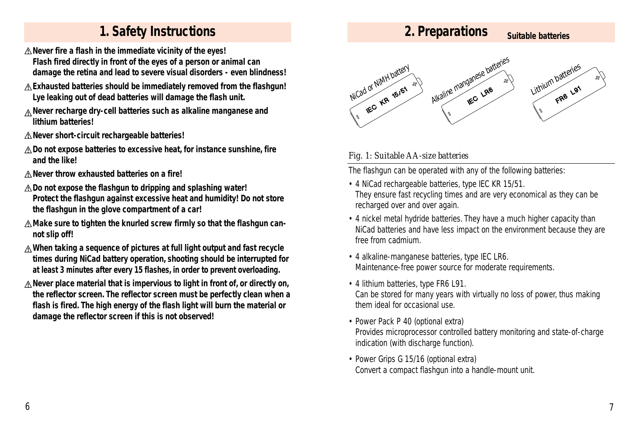## **1. Safety Instructions Suitable batteries Suitable batteries Suitable batteries**

- **Never fire a flash in the immediate vicinity of the eyes! Flash fired directly in front of the eyes of a person or animal can damage the retina and lead to severe visual disorders - even blindness!**
- **Exhausted batteries should be immediately removed from the flashgun! Lye leaking out of dead batteries will damage the flash unit.**
- **Never recharge dry-cell batteries such as alkaline manganese and lithium batteries!**
- **Never short-circuit rechargeable batteries!**
- **Do not expose batteries to excessive heat, for instance sunshine, fire and the like!**
- **Never throw exhausted batteries on a fire!**
- **Do not expose the flashgun to dripping and splashing water! Protect the flashgun against excessive heat and humidity! Do not store the flashgun in the glove compartment of a car!**
- **Make sure to tighten the knurled screw firmly so that the flashgun cannot slip off!**
- **When taking a sequence of pictures at full light output and fast recycle times during NiCad battery operation, shooting should be interrupted for at least 3 minutes after every 15 flashes, in order to prevent overloading.**
- **Never place material that is impervious to light in front of, or directly on, the reflector screen. The reflector screen must be perfectly clean when a flash is fired. The high energy of the flash light will burn the material or damage the reflector screen if this is not observed!**



#### *Fig. 1: Suitable AA-size batteries*

The flashgun can be operated with any of the following batteries:

**2. Preparations**

- 4 NiCad rechargeable batteries, type IEC KR 15/51. They ensure fast recycling times and are very economical as they can be recharged over and over again.
- 4 nickel metal hydride batteries. They have a much higher capacity than NiCad batteries and have less impact on the environment because they are free from cadmium.
- 4 alkaline-manganese batteries, type IEC LR6. Maintenance-free power source for moderate requirements.
- 4 lithium batteries, type FR6 L91. Can be stored for many years with virtually no loss of power, thus making them ideal for occasional use.
- Power Pack P 40 (optional extra) Provides microprocessor controlled battery monitoring and state-of-charge indication (with discharge function).
- Power Grips G 15/16 (optional extra) Convert a compact flashgun into a handle-mount unit.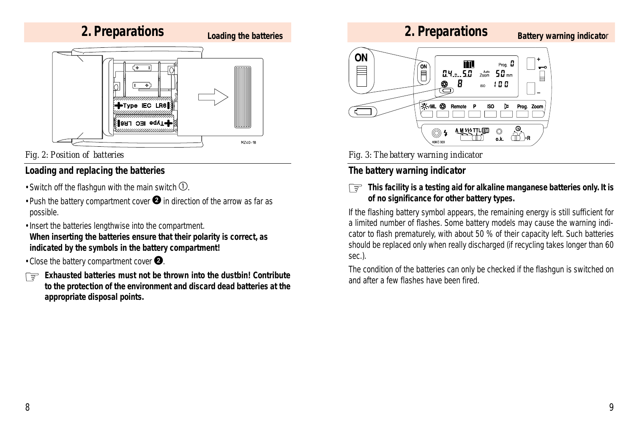

*Fig. 2: Position of batteries*

#### **Loading and replacing the batteries**

- Switch off the flashgun with the main switch  $\mathbb{O}$ .
- •Push the battery compartment cover  $\bullet$  in direction of the arrow as far as possible.
- •Insert the batteries lengthwise into the compartment.

**When inserting the batteries ensure that their polarity is correct, as indicated by the symbols in the battery compartment!**

- •Close the battery compartment cover  $\bullet$ .
- *Exhausted batteries must not be thrown into the dustbin! Contribute to the protection of the environment and discard dead batteries at the appropriate disposal points.* ☞

## **2. Preparations**

#### **Battery warning indicato**r



*Fig. 3: The battery warning indicator*

## **The battery warning indicator**

**This facility is a testing aid for alkaline manganese batteries only. It is** ☞**of no significance for other battery types.**

If the flashing battery symbol appears, the remaining energy is still sufficient for a limited number of flashes. Some battery models may cause the warning indicator to flash prematurely, with about 50 % of their capacity left. Such batteries should be replaced only when really discharged (if recycling takes longer than 60 sec.).

The condition of the batteries can only be checked if the flashgun is switched on and after a few flashes have been fired.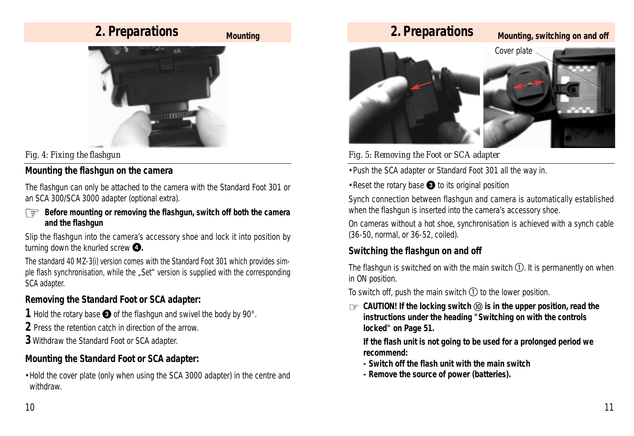# **2. Preparations**

#### **Mounting**



## *Fig. 4: Fixing the flashgun*

## **Mounting the flashgun on the camera**

The flashgun can only be attached to the camera with the Standard Foot 301 or an SCA 300/SCA 3000 adapter (optional extra).

*Before mounting or removing the flashgun, switch off both the camera and the flashgun*

Slip the flashgun into the camera's accessory shoe and lock it into position by turning down the knurled screw  $\bullet$ .

The standard 40 MZ-3(i) version comes with the Standard Foot 301 which provides simple flash synchronisation, while the "Set" version is supplied with the corresponding SCA adapter.

#### **Removing the Standard Foot or SCA adapter:**

- **1** Hold the rotary base  $\bullet$  of the flashgun and swivel the body by 90 $^{\circ}$ .
- **2** Press the retention catch in direction of the arrow.
- **3** Withdraw the Standard Foot or SCA adapter.

#### **Mounting the Standard Foot or SCA adapter:**

•Hold the cover plate (only when using the SCA 3000 adapter) in the centre and withdraw.



*Fig. 5: Removing the Foot or SCA adapter*

•Push the SCA adapter or Standard Foot 301 all the way in.

 $\cdot$ Reset the rotary base  $\bigcirc$  to its original position

Synch connection between flashgun and camera is automatically established when the flashgun is inserted into the camera's accessory shoe.

On cameras without a hot shoe, synchronisation is achieved with a synch cable (36-50, normal, or 36-52, coiled).

#### **Switching the flashgun on and off**

The flashgun is switched on with the main switch  $\mathbb{O}$ . It is permanently on when in ON position.

To switch off, push the main switch  $\odot$  to the lower position.

 $\,$   $\otimes$  CAUTION! If the locking switch  $\textcircled{\scriptsize{0}}$  is in the upper position, read the *instructions under the heading "Switching on with the controls locked" on Page 51.*

*If the flash unit is not going to be used for a prolonged period we recommend:*

- *Switch off the flash unit with the main switch*
- *Remove the source of power (batteries).*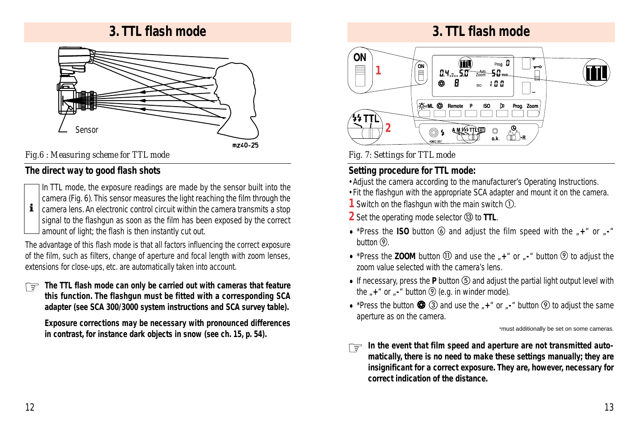## **3. TTL flash mode**



mz40-25

## *Fig.6 : Measuring scheme for TTL mode*

#### **The direct way to good flash shots**



*signal to the flashgun as soon as the film has been exposed by the correct amount of light; the flash is then instantly cut out.* i

The advantage of this flash mode is that all factors influencing the correct exposure of the film, such as filters, change of aperture and focal length with zoom lenses, extensions for close-ups, etc. are automatically taken into account.

The TTL flash mode can only be carried out with cameras that feature<br>this function. The flashaun must be fitted with a corresponding SCA *this function. The flashgun must be fitted with a corresponding SCA adapter (see SCA 300/3000 system instructions and SCA survey table).*

*Exposure corrections may be necessary with pronounced differences in contrast, for instance dark objects in snow (see ch. 15, p. 54).*

## **3. TTL flash mode**



*Fig. 7: Settings for TTL mode*

## **Setting procedure for TTL mode:**

- •Adjust the camera according to the manufacturer's Operating Instructions.
- •Fit the flashgun with the appropriate SCA adapter and mount it on the camera.
- **1** Switch on the flashgun with the main switch  $\Omega$ .
- **2** Set the operating mode selector **3** to TTL.
- \*Press the **ISO** button  $\circled{0}$  and adjust the film speed with the  $*$ +" or  $*$ button  $(9)$ .
- \*Press the **ZOOM** button  $\textcircled{1}$  and use the  $*$ +" or  $*$ -" button  $\textcircled{2}$  to adjust the zoom value selected with the camera's lens.
- If necessary, press the  $P$  button  $\circled{S}$  and adjust the partial light output level with the  $*$  + " or  $*$  - " button  $\circled{9}$  (e.g. in winder mode).
- \*Press the button  $\bigcirc$  3 and use the  $\mathbb{I}$ +" or  $\mathbb{I}$ -" button  $\circledcirc$  to adjust the same aperture as on the camera.

\*must additionally be set on some cameras.

*In the event that film speed and aperture are not transmitted auto-*☞*matically, there is no need to make these settings manually; they are insignificant for a correct exposure. They are, however, necessary for correct indication of the distance.*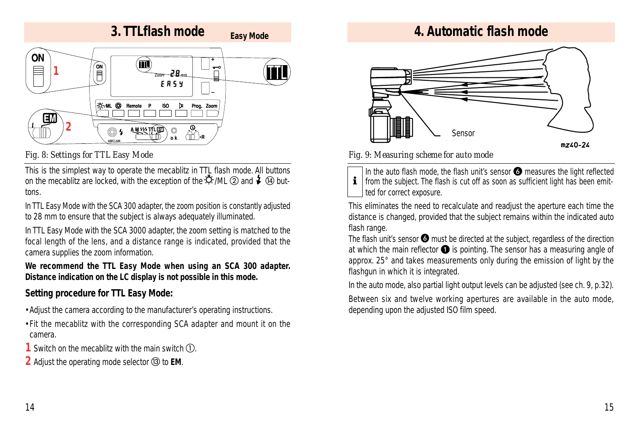

#### *Fig. 8: Settings for TTL Easy Mode*

This is the simplest way to operate the mecablitz in TTL flash mode. All buttons on the mecablitz are locked, with the exception of the  $\ddot{\circ}$  /ML  $\odot$  and  $\ddot{\bullet}$   $\odot$  buttons.

In TTL Easy Mode with the SCA 300 adapter, the zoom position is constantly adjusted to 28 mm to ensure that the subject is always adequately illuminated.

In TTL Easy Mode with the SCA 3000 adapter, the zoom setting is matched to the focal length of the lens, and a distance range is indicated, provided that the camera supplies the zoom information.

*We recommend the TTL Easy Mode when using an SCA 300 adapter. Distance indication on the LC display is not possible in this mode.*

#### **Setting procedure for TTL Easy Mode:**

- •Adjust the camera according to the manufacturer's operating instructions.
- •Fit the mecablitz with the corresponding SCA adapter and mount it on the camera.
- **1** Switch on the mecablitz with the main switch  $(1)$ .
- **2** Adjust the operating mode selector to **EM**.

# **Easy Mode 4. Automatic flash mode**



#### *Fig. 9: Measuring scheme for auto mode*

*In the auto flash mode, the flash unit's sensor*  $\odot$  *measures the light reflected from the subject. The flash is cut off as soon as sufficient light has been emit ted for correct exposure.*

This eliminates the need to recalculate and readjust the aperture each time the distance is changed, provided that the subject remains within the indicated auto flash range.

The flash unit's sensor  $\bigcirc$  must be directed at the subject, regardless of the direction at which the main reflector  $\bullet$  is pointing. The sensor has a measuring angle of approx. 25° and takes measurements only during the emission of light by the flashgun in which it is integrated.

In the auto mode, also partial light output levels can be adjusted (see ch. 9, p.32).

Between six and twelve working apertures are available in the auto mode, depending upon the adjusted ISO film speed.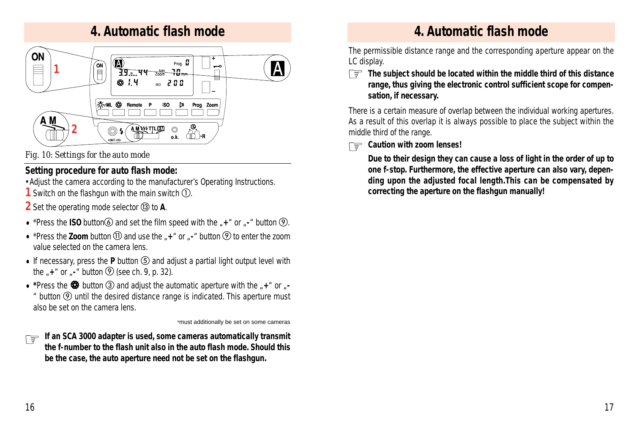## **4. Automatic flash mode**



#### *Fig. 10: Settings for the auto mode*

## **Setting procedure for auto flash mode:**

•Adjust the camera according to the manufacturer's Operating Instructions.

**1** Switch on the flashgun with the main switch  $\Omega$ .

**2** Set the operating mode selector **<b>13** to **A**.

- \*Press the **ISO** button  $\overline{6}$  and set the film speed with the  $\overline{7}$ +" or  $\overline{7}$ -" button  $\overline{9}$ .
- \*Press the **Zoom** button **(1)** and use the  $*$ +" or  $*$ -" button **(2)** to enter the zoom value selected on the camera lens.
- If necessary, press the  $P$  button  $\circled{S}$  and adjust a partial light output level with the  $*$  **+**" or  $*$  **button**  $\circled{9}$  (see ch. 9, p. 32).
- \*Press the  $\bullet$  button **3** and adjust the automatic aperture with the  $\cdot +$  " or  $\cdot$  $*$  button  $<sup>①</sup>$  until the desired distance range is indicated. This aperture must</sup> also be set on the camera lens.

\*must additionally be set on some cameras

*If an SCA 3000 adapter is used, some cameras automatically transmit the f-number to the flash unit also in the auto flash mode. Should this be the case, the auto aperture need not be set on the flashgun.* ☞

# **4. Automatic flash mode**

The permissible distance range and the corresponding aperture appear on the LC display.

*The subject should be located within the middle third of this distance* ☞ *range, thus giving the electronic control sufficient scope for compensation, if necessary.*

There is a certain measure of overlap between the individual working apertures. As a result of this overlap it is always possible to place the subject within the middle third of the range.

# *Caution with zoom lenses!* ☞

*Due to their design they can cause a loss of light in the order of up to one f-stop. Furthermore, the effective aperture can also vary, depending upon the adjusted focal length.This can be compensated by correcting the aperture on the flashgun manually!*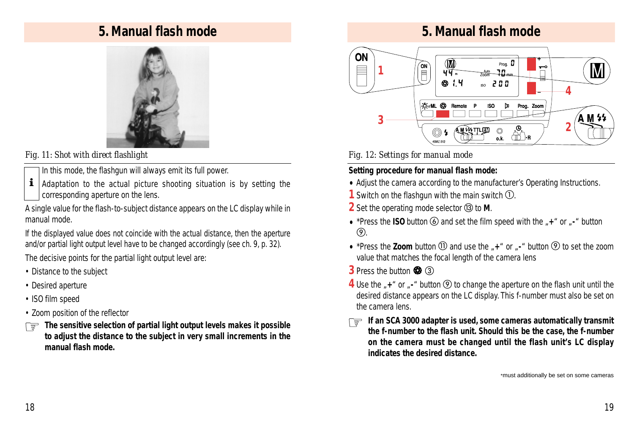## **5. Manual flash mode**



*Fig. 11: Shot with direct flashlight*

- *In this mode, the flashgun will always emit its full power.*
- *Adaptation to the actual picture shooting situation is by setting the corresponding aperture on the lens.* i

A single value for the flash-to-subject distance appears on the LC display while in manual mode.

If the displayed value does not coincide with the actual distance, then the aperture and/or partial light output level have to be changed accordingly (see ch. 9, p. 32).

The decisive points for the partial light output level are:

- Distance to the subject
- Desired aperture
- ISO film speed
- Zoom position of the reflector
- *The sensitive selection of partial light output levels makes it possible* ☞ *to adjust the distance to the subject in very small increments in the manual flash mode.*

## **5. Manual flash mode**



*Fig. 12: Settings for manual mode*

#### **Setting procedure for manual flash mode:**

- Adjust the camera according to the manufacturer's Operating Instructions.
- **1** Switch on the flashgun with the main switch  $\Omega$ .
- **2** Set the operating mode selector **13** to **M**.
- \*Press the **ISO** button **6** and set the film speed with the  $\mu$ +" or  $\mu$ -" button  $\circledcirc$ .
- \*Press the **Zoom** button (1) and use the  $\mu$ +" or  $\mu$ -" button  $\circledcirc$  to set the zoom value that matches the focal length of the camera lens
- **3** Press the button  $\bigcirc$  **3 3**
- **4** Use the <sub>*r*</sub>+<sup>*"*</sup> or *<sub>r</sub>*-<sup>*"*</sup> button **②** to change the aperture on the flash unit until the desired distance appears on the LC display. This f-number must also be set on the camera lens.
- *If an SCA 3000 adapter is used, some cameras automatically transmit*<br>the finition flash unit. Should this he the case the finition *the f-number to the flash unit. Should this be the case, the f-number on the camera must be changed until the flash unit's LC display indicates the desired distance.*

\*must additionally be set on some cameras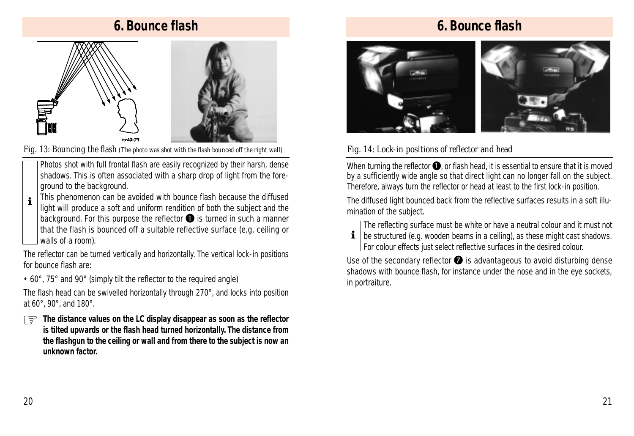# **6. Bounce flash**



*Fig. 13: Bouncing the flash (The photo was shot with the flash bounced off the right wall)*

*Photos shot with full frontal flash are easily recognized by their harsh, dense shadows. This is often associated with a sharp drop of light from the foreground to the background.*

*This phenomenon can be avoided with bounce flash because the diffused* i

*light will produce a soft and uniform rendition of both the subject and the background. For this purpose the reflector* **O** *is turned in such a manner that the flash is bounced off a suitable reflective surface (e.g. ceiling or walls of a room).*

The reflector can be turned vertically and horizontally. The vertical lock-in positions for bounce flash are:

• 60°, 75° and 90° (simply tilt the reflector to the required angle)

The flash head can be swivelled horizontally through 270°, and locks into position at 60°, 90°, and 180°.

*The distance values on the LC display disappear as soon as the reflector* ☞ *is tilted upwards or the flash head turned horizontally. The distance from the flashgun to the ceiling or wall and from there to the subject is now an unknown factor.*

# **6. Bounce flash**



#### *Fig. 14: Lock-in positions of reflector and head*

When turning the reflector  $\bigcirc$ , or flash head, it is essential to ensure that it is moved by a sufficiently wide angle so that direct light can no longer fall on the subject. Therefore, always turn the reflector or head at least to the first lock-in position.

The diffused light bounced back from the reflective surfaces results in a soft illumination of the subject.



*The reflecting surface must be white or have a neutral colour and it must not be structured (e.g. wooden beams in a ceiling), as these might cast shadows. For colour effects just select reflective surfaces in the desired colour.*

Use of the secondary reflector  $\bullet$  is advantageous to avoid disturbing dense shadows with bounce flash, for instance under the nose and in the eye sockets, in portraiture.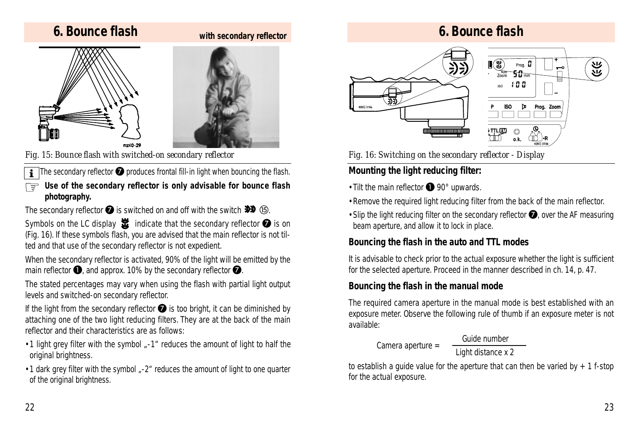## **6. Bounce flash**

#### **with secondary reflector**





*Fig. 15: Bounce flash with switched-on secondary reflector*

The secondary reflector  $\bullet$  produces frontal fill-in light when bouncing the flash.  $\overline{\mathbf{i}}$ 

Use of the secondary reflector is only advisable for bounce flash<br>shotography *photography.*

The secondary reflector  $\bigcirc$  is switched on and off with the switch  $\gg$  (5).

Symbols on the LC display  $\mathbf{\ddot{x}}$  indicate that the secondary reflector  $\bullet$  is on (Fig. 16). If these symbols flash, you are advised that the main reflector is not tilted and that use of the secondary reflector is not expedient.

When the secondary reflector is activated, 90% of the light will be emitted by the main reflector  $\bullet$ , and approx. 10% by the secondary reflector  $\bullet$ .

The stated percentages may vary when using the flash with partial light output levels and switched-on secondary reflector.

If the light from the secondary reflector  $\bullet$  is too bright, it can be diminished by attaching one of the two light reducing filters. They are at the back of the main reflector and their characteristics are as follows:

- •1 light grey filter with the symbol "-1" reduces the amount of light to half the original brightness.
- •1 dark grey filter with the symbol "-2" reduces the amount of light to one quarter of the original brightness.

# **6. Bounce flash**



*Fig. 16: Switching on the secondary reflector - Display*

## **Mounting the light reducing filter:**

 $\cdot$  Tilt the main reflector  $\bigcirc$  90° upwards.

- •Remove the required light reducing filter from the back of the main reflector.
- Slip the light reducing filter on the secondary reflector  $\bullet$ , over the AF measuring beam aperture, and allow it to lock in place.

## **Bouncing the flash in the auto and TTL modes**

It is advisable to check prior to the actual exposure whether the light is sufficient for the selected aperture. Proceed in the manner described in ch. 14, p. 47.

## **Bouncing the flash in the manual mode**

*Camera aperture =*

The required camera aperture in the manual mode is best established with an exposure meter. Observe the following rule of thumb if an exposure meter is not available:

```
Guide number
```
*Light distance x 2*

to establish a quide value for the aperture that can then be varied by  $+1$  f-stop for the actual exposure.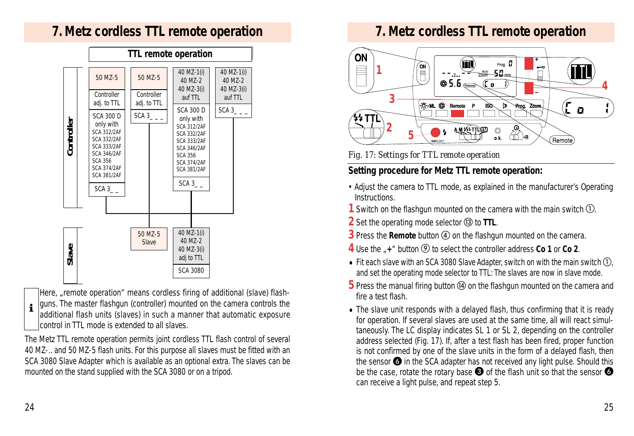## **7. Metz cordless TTL remote operation**



*Here, "remote operation" means cordless firing of additional (slave) flash-*

*guns. The master flashgun (controller) mounted on the camera controls the additional flash units (slaves) in such a manner that automatic exposure control in TTL mode is extended to all slaves.*  $\mathbf i$ 

The Metz TTL remote operation permits joint cordless TTL flash control of several 40 MZ-.. and 50 MZ-5 flash units. For this purpose all slaves must be fitted with an SCA 3080 Slave Adapter which is available as an optional extra. The slaves can be mounted on the stand supplied with the SCA 3080 or on a tripod.

# **7. Metz cordless TTL remote operation**



*Fig. 17: Settings for TTL remote operation*

## **Setting procedure for Metz TTL remote operation:**

- Adjust the camera to TTL mode, as explained in the manufacturer's Operating Instructions.
- **1** Switch on the flashgun mounted on the camera with the main switch  $\textcircled{1}$ .
- **2** Set the operating mode selector **13** to **TTL**.
- **3** Press the **Remote** button **4** on the flashgun mounted on the camera.
- **4** Use the  $\mathbb{I}$  + " button (9) to select the controller address **Co 1** or **Co 2**.
- Fit each slave with an SCA 3080 Slave Adapter, switch on with the main switch  $\mathbb{O}$ , and set the operating mode selector to TTL: The slaves are now in slave mode.
- **5** Press the manual firing button **<sup>o</sup>** on the flashgun mounted on the camera and fire a test flash.
- The slave unit responds with a delayed flash, thus confirming that it is ready for operation. If several slaves are used at the same time, all will react simultaneously. The LC display indicates SL 1 or SL 2, depending on the controller address selected (Fig. 17). If, after a test flash has been fired, proper function is not confirmed by one of the slave units in the form of a delayed flash, then the sensor  $\bigcirc$  in the SCA adapter has not received any light pulse. Should this be the case, rotate the rotary base  $\bigcirc$  of the flash unit so that the sensor  $\bigcirc$ can receive a light pulse, and repeat step 5.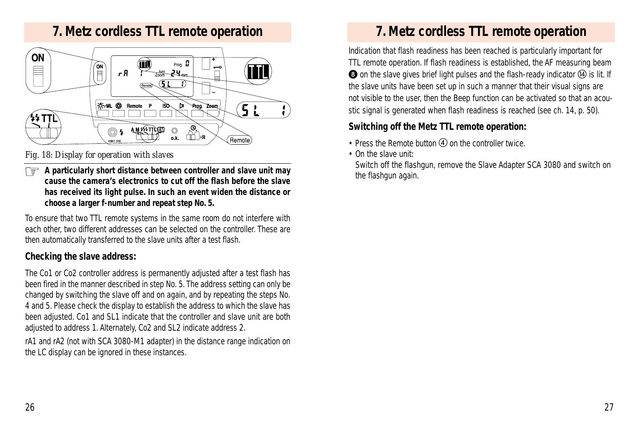## **7. Metz cordless TTL remote operation**



#### *Fig. 18: Display for operation with slaves*

*A particularly short distance between controller and slave unit may* ☞ *cause the camera's electronics to cut off the flash before the slave has received its light pulse. In such an event widen the distance or choose a larger f-number and repeat step No. 5.*

To ensure that two TTL remote systems in the same room do not interfere with each other, two different addresses can be selected on the controller. These are then automatically transferred to the slave units after a test flash.

#### **Checking the slave address:**

The Co1 or Co2 controller address is permanently adjusted after a test flash has been fired in the manner described in step No. 5. The address setting can only be changed by switching the slave off and on again, and by repeating the steps No. 4 and 5. Please check the display to establish the address to which the slave has been adjusted. Co1 and SL1 indicate that the controller and slave unit are both adjusted to address 1. Alternately, Co2 and SL2 indicate address 2.

rA1 and rA2 (not with SCA 3080-M1 adapter) in the distance range indication on the LC display can be ignored in these instances.

## **7. Metz cordless TTL remote operation**

Indication that flash readiness has been reached is particularly important for TTL remote operation. If flash readiness is established, the AF measuring beam **3** on the slave gives brief light pulses and the flash-ready indicator  $\Phi$  is lit. If the slave units have been set up in such a manner that their visual signs are not visible to the user, then the Beep function can be activated so that an acoustic signal is generated when flash readiness is reached (see ch. 14, p. 50).

#### **Switching off the Metz TTL remote operation:**

- Press the Remote button  $\overline{A}$  on the controller twice.
- On the slave unit:

Switch off the flashgun, remove the Slave Adapter SCA 3080 and switch on the flashgun again.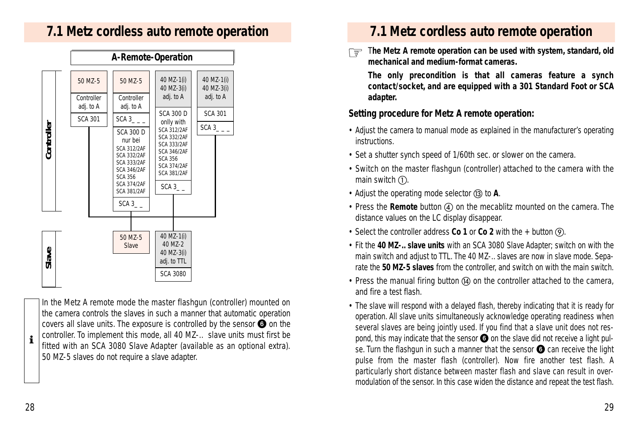## **7.1 Metz cordless auto remote operation**



*In the Metz A remote mode the master flashgun (controller) mounted on the camera controls the slaves in such a manner that automatic operation covers all slave units. The exposure is controlled by the sensor*  $\odot$  *on the controller. To implement this mode, all 40 MZ-.. slave units must first be fitted with an SCA 3080 Slave Adapter (available as an optional extra). 50 MZ-5 slaves do not require a slave adapter.*

## **7.1 Metz cordless auto remote operation**

The Metz A remote operation can be used with system, standard, old *mechanical and medium-format cameras.*

*The only precondition is that all cameras feature a synch contact/socket, and are equipped with a 301 Standard Foot or SCA adapter.*

#### **Setting procedure for Metz A remote operation:**

- Adjust the camera to manual mode as explained in the manufacturer's operating instructions.
- Set a shutter synch speed of 1/60th sec. or slower on the camera.
- Switch on the master flashgun (controller) attached to the camera with the main switch  $(1)$ .
- Adjust the operating mode selector (i3) to A.
- Press the **Remote** button (4) on the mecablitz mounted on the camera. The distance values on the LC display disappear.
- Select the controller address **Co 1** or **Co 2** with the + button  $\Theta$ .
- Fit the *40 MZ-.. slave units* with an SCA 3080 Slave Adapter; switch on with the main switch and adjust to TTL. The 40 MZ-.. slaves are now in slave mode. Separate the *50 MZ-5 slaves* from the controller, and switch on with the main switch.
- Press the manual firing button  $\alpha$  on the controller attached to the camera, and fire a test flash.
- The slave will respond with a delayed flash, thereby indicating that it is ready for operation. All slave units simultaneously acknowledge operating readiness when several slaves are being jointly used. If you find that a slave unit does not respond, this may indicate that the sensor  $\bigodot$  on the slave did not receive a light pulse. Turn the flashgun in such a manner that the sensor  $\odot$  can receive the light pulse from the master flash (controller). Now fire another test flash. A particularly short distance between master flash and slave can result in overmodulation of the sensor. In this case widen the distance and repeat the test flash.

 $\mathbf i$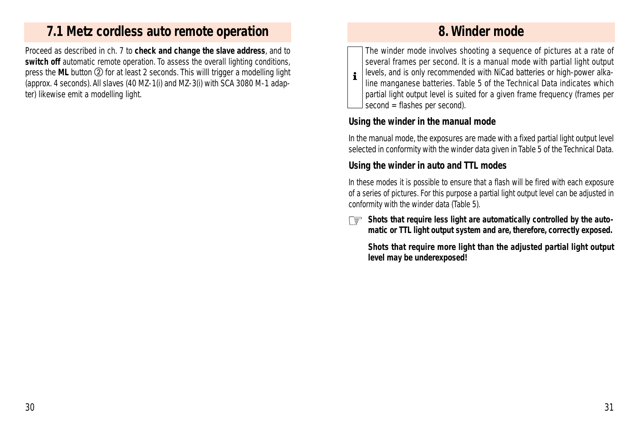## **7.1 Metz cordless auto remote operation**

Proceed as described in ch. 7 to **check and change the slave address**, and to switch off automatic remote operation. To assess the overall lighting conditions, press the ML button **2** for at least 2 seconds. This willl trigger a modelling light (approx. 4 seconds). All slaves (40 MZ-1(i) and MZ-3(i) with SCA 3080 M-1 adapter) likewise emit a modelling light.

## **8. Winder mode**

*The winder mode involves shooting a sequence of pictures at a rate of several frames per second. It is a manual mode with partial light output levels, and is only recommended with NiCad batteries or high-power alkaline manganese batteries. Table 5 of the Technical Data indicates which partial light output level is suited for a given frame frequency (frames per second = flashes per second).* i

#### **Using the winder in the manual mode**

In the manual mode, the exposures are made with a fixed partial light output level selected in conformity with the winder data given in Table 5 of the Technical Data.

#### **Using the winder in auto and TTL modes**

In these modes it is possible to ensure that a flash will be fired with each exposure of a series of pictures. For this purpose a partial light output level can be adjusted in conformity with the winder data (Table 5).

*Shots that require less light are automatically controlled by the auto-*☞ *matic or TTL light output system and are, therefore, correctly exposed.*

*Shots that require more light than the adjusted partial light output level may be underexposed!*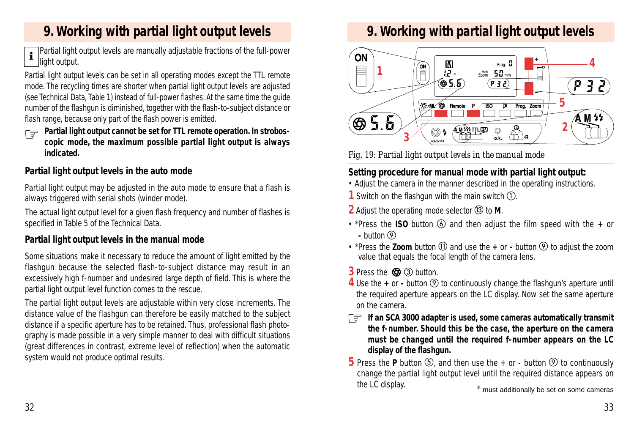# **9. Working with partial light output levels**

*Partial light output levels are manually adjustable fractions of the full-power light output.*  $\mathbf i$ 

Partial light output levels can be set in all operating modes except the TTL remote mode. The recycling times are shorter when partial light output levels are adjusted (see Technical Data, Table 1) instead of full-power flashes. At the same time the guide number of the flashgun is diminished, together with the flash-to-subject distance or flash range, because only part of the flash power is emitted.

*Partial light output cannot be set for TTL remote operation. In strobos-***<br>conic mode the maximum possible partial light output is always** *copic mode, the maximum possible partial light output is always indicated.*

## **Partial light output levels in the auto mode**

Partial light output may be adjusted in the auto mode to ensure that a flash is always triggered with serial shots (winder mode).

The actual light output level for a given flash frequency and number of flashes is specified in Table 5 of the Technical Data.

## **Partial light output levels in the manual mode**

Some situations make it necessary to reduce the amount of light emitted by the flashgun because the selected flash-to-subject distance may result in an excessively high f-number and undesired large depth of field. This is where the partial light output level function comes to the rescue.

The partial light output levels are adjustable within very close increments. The distance value of the flashgun can therefore be easily matched to the subject distance if a specific aperture has to be retained. Thus, professional flash photography is made possible in a very simple manner to deal with difficult situations (great differences in contrast, extreme level of reflection) when the automatic system would not produce optimal results.

# **9. Working with partial light output levels**



*Fig. 19: Partial light output levels in the manual mode*

## **Setting procedure for manual mode with partial light output:**

- Adjust the camera in the manner described in the operating instructions.
- **1** Switch on the flashgun with the main switch  $\textcircled{1}$ .
- **2** Adjust the operating mode selector **(3)** to **M**.
- \*Press the **ISO** button  $\textcircled{6}$  and then adjust the film speed with the + or **-** button
- \*Press the **Zoom** button  $(1)$  and use the  $+$  or  $-$  button  $(9)$  to adjust the zoom value that equals the focal length of the camera lens.
- **3** Press the  $\circled{3}$   $\circled{3}$  button.
- **4** Use the  $+$  or  $-$  button  $\circledcirc$  to continuously change the flashgun's aperture until the required aperture appears on the LC display. Now set the same aperture on the camera.
- *If an SCA 3000 adapter is used, some cameras automatically transmit* ☞ *the f-number. Should this be the case, the aperture on the camera must be changed until the required f-number appears on the LC display of the flashgun.*
- **5** Press the **P** button  $\textcircled{5}$ , and then use the + or button  $\textcircled{9}$  to continuously change the partial light output level until the required distance appears on the LC display. \* must additionally be set on some cameras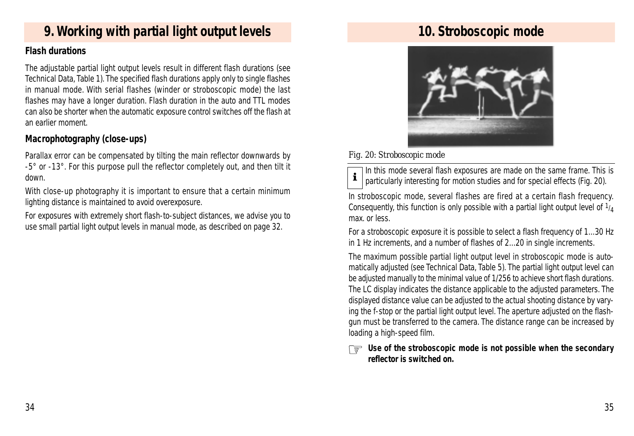# **9. Working with partial light output levels**

#### **Flash durations**

The adjustable partial light output levels result in different flash durations (see Technical Data, Table 1). The specified flash durations apply only to single flashes in manual mode. With serial flashes (winder or stroboscopic mode) the last flashes may have a longer duration. Flash duration in the auto and TTL modes can also be shorter when the automatic exposure control switches off the flash at an earlier moment.

## **Macrophotography (close-ups)**

Parallax error can be compensated by tilting the main reflector downwards by -5° or -13°. For this purpose pull the reflector completely out, and then tilt it down.

With close-up photography it is important to ensure that a certain minimum lighting distance is maintained to avoid overexposure.

For exposures with extremely short flash-to-subject distances, we advise you to use small partial light output levels in manual mode, as described on page 32.

## **10. Stroboscopic mode**



#### *Fig. 20: Stroboscopic mode*



*In this mode several flash exposures are made on the same frame. This is particularly interesting for motion studies and for special effects (Fig. 20).*

In stroboscopic mode, several flashes are fired at a certain flash frequency. Consequently, this function is only possible with a partial light output level of  $1/4$ max. or less.

For a stroboscopic exposure it is possible to select a flash frequency of 1...30 Hz in 1 Hz increments, and a number of flashes of 2...20 in single increments.

The maximum possible partial light output level in stroboscopic mode is automatically adjusted (see Technical Data, Table 5). The partial light output level can be adjusted manually to the minimal value of 1/256 to achieve short flash durations. The LC display indicates the distance applicable to the adjusted parameters. The displayed distance value can be adjusted to the actual shooting distance by varying the f-stop or the partial light output level. The aperture adjusted on the flashgun must be transferred to the camera. The distance range can be increased by loading a high-speed film.

*Use of the stroboscopic mode is not possible when the secondary* ☞ *reflector is switched on.*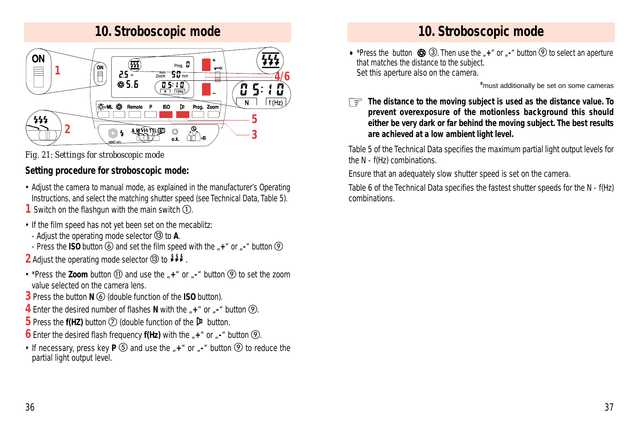# **10. Stroboscopic mode**





## **Setting procedure for stroboscopic mode:**

- Adjust the camera to manual mode, as explained in the manufacturer's Operating Instructions, and select the matching shutter speed (see Technical Data, Table 5).
- **1** Switch on the flashgun with the main switch  $\Omega$ .
- If the film speed has not yet been set on the mecablitz:
- Adjust the operating mode selector **3** to **A**.
- Press the **ISO** button  $\textcircled{6}$  and set the film speed with the  $*$ +" or  $*$ -" button  $\textcircled{9}$
- **2** Adjust the operating mode selector  $\circled{3}$  to  $\sharp$
- \*Press the **Zoom** button **(1)** and use the  $*$ +" or  $*$ -" button  $\circled{Q}$  to set the zoom value selected on the camera lens.
- **3** Press the button **N (6)** (double function of the **ISO** button).
- **4** Enter the desired number of flashes **N** with the  $\mu$ +" or  $\mu$ -" button  $\circled{9}$ .
- **5** Press the **f(HZ)** button  $\oslash$  (double function of the  $\triangleright$  button.
- **6** Enter the desired flash frequency  $f(Hz)$  with the  $\mu$ +" or  $\mu$ -" button  $\circled{9}$ .
- If necessary, press key  $P$   $\circled{5}$  and use the  $*$ +" or  $*$ -" button  $\circled{9}$  to reduce the partial light output level.

# **10. Stroboscopic mode**

• \*Press the button  $\circled{3}$   $\circled{3}$ . Then use the  $*$   $*$  or  $*$  button  $\circled{9}$  to select an aperture that matches the distance to the subject. Set this aperture also on the camera.

\*must additionally be set on some cameras

*The distance to the moving subject is used as the distance value. To* ☞ *prevent overexposure of the motionless background this should either be very dark or far behind the moving subject. The best results are achieved at a low ambient light level.*

Table 5 of the Technical Data specifies the maximum partial light output levels for the N - f(Hz) combinations.

Ensure that an adequately slow shutter speed is set on the camera.

Table 6 of the Technical Data specifies the fastest shutter speeds for the N - f(Hz) combinations.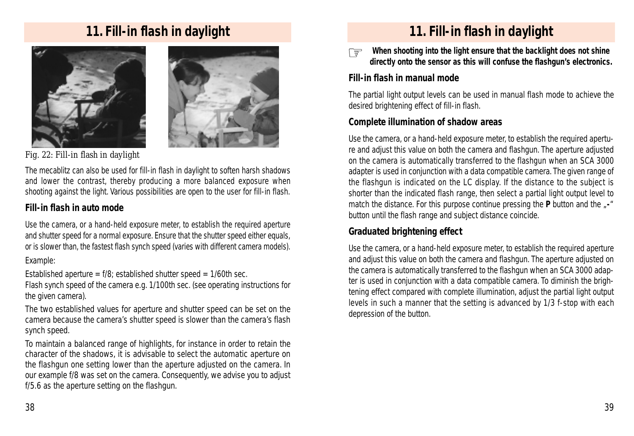## **11. Fill-in flash in daylight**





*Fig. 22: Fill-in flash in daylight*

The mecablitz can also be used for fill-in flash in daylight to soften harsh shadows and lower the contrast, thereby producing a more balanced exposure when shooting against the light. Various possibilities are open to the user for fill-in flash.

## **Fill-in flash in auto mode**

Use the camera, or a hand-held exposure meter, to establish the required aperture and shutter speed for a normal exposure. Ensure that the shutter speed either equals, or is slower than, the fastest flash synch speed (varies with different camera models). *Example:*

*Established aperture = f/8; established shutter speed = 1/60th sec. Flash synch speed of the camera e.g. 1/100th sec. (see operating instructions for the given camera).*

The two established values for aperture and shutter speed can be set on the camera because the camera's shutter speed is slower than the camera's flash synch speed.

To maintain a balanced range of highlights, for instance in order to retain the character of the shadows, it is advisable to select the automatic aperture on the flashgun one setting lower than the aperture adjusted on the camera. In our example f/8 was set on the camera. Consequently, we advise you to adjust f/5.6 as the aperture setting on the flashgun.

# **11. Fill-in flash in daylight**

*When shooting into the light ensure that the backlight does not shine directly onto the sensor as this will confuse the flashgun's electronics.* ☞

#### **Fill-in flash in manual mode**

The partial light output levels can be used in manual flash mode to achieve the desired brightening effect of fill-in flash.

#### **Complete illumination of shadow areas**

Use the camera, or a hand-held exposure meter, to establish the required aperture and adjust this value on both the camera and flashgun. The aperture adjusted on the camera is automatically transferred to the flashgun when an SCA 3000 adapter is used in conjunction with a data compatible camera. The given range of the flashgun is indicated on the LC display. If the distance to the subject is shorter than the indicated flash range, then select a partial light output level to match the distance. For this purpose continue pressing the **P** button and the  $\sqrt{I}$ -" button until the flash range and subject distance coincide.

#### **Graduated brightening effect**

Use the camera, or a hand-held exposure meter, to establish the required aperture and adjust this value on both the camera and flashgun. The aperture adjusted on the camera is automatically transferred to the flashgun when an SCA 3000 adapter is used in conjunction with a data compatible camera. To diminish the brightening effect compared with complete illumination, adjust the partial light output levels in such a manner that the setting is advanced by 1/3 f-stop with each depression of the button.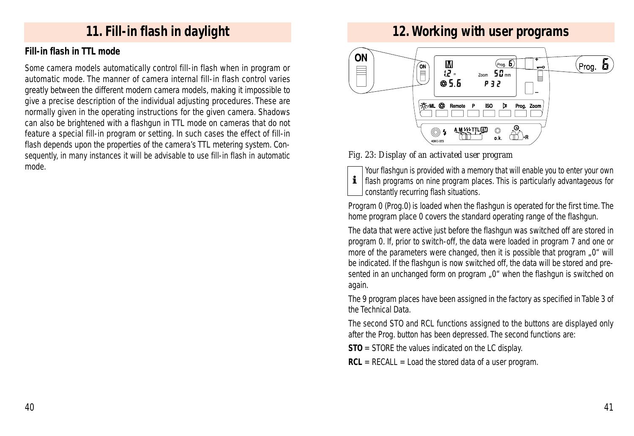## **11. Fill-in flash in daylight**

#### **Fill-in flash in TTL mode**

Some camera models automatically control fill-in flash when in program or automatic mode. The manner of camera internal fill-in flash control varies greatly between the different modern camera models, making it impossible to give a precise description of the individual adjusting procedures. These are normally given in the operating instructions for the given camera. Shadows can also be brightened with a flashgun in TTL mode on cameras that do not feature a special fill-in program or setting. In such cases the effect of fill-in flash depends upon the properties of the camera's TTL metering system. Consequently, in many instances it will be advisable to use fill-in flash in automatic mode.

## **12. Working with user programs**



*Fig. 23: Display of an activated user program*

*Your flashgun is provided with a memory that will enable you to enter your own flash programs on nine program places. This is particularly advantageous for constantly recurring flash situations.*

Program 0 (Prog.0) is loaded when the flashgun is operated for the first time. The home program place 0 covers the standard operating range of the flashgun.

The data that were active just before the flashgun was switched off are stored in program 0. If, prior to switch-off, the data were loaded in program 7 and one or more of the parameters were changed, then it is possible that program "0" will be indicated. If the flashgun is now switched off, the data will be stored and presented in an unchanged form on program "0" when the flashgun is switched on again.

The 9 program places have been assigned in the factory as specified in Table 3 of the Technical Data.

The second STO and RCL functions assigned to the buttons are displayed only after the Prog. button has been depressed. The second functions are:

**STO** = STORE the values indicated on the LC display.

**RCL** = RECALL = Load the stored data of a user program.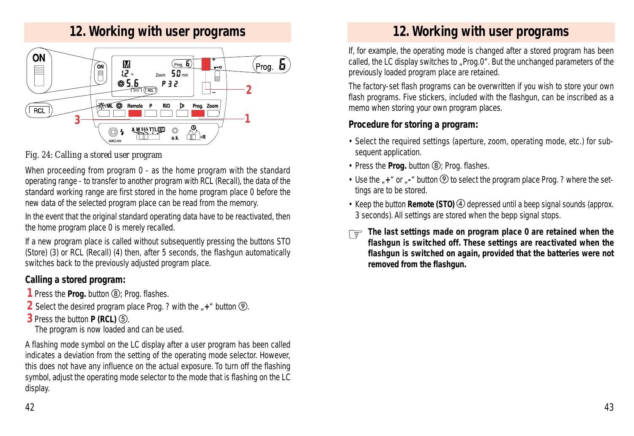## **12. Working with user programs**



#### *Fig. 24: Calling a stored user program*

When proceeding from program 0 - as the home program with the standard operating range - to transfer to another program with RCL (Recall), the data of the standard working range are first stored in the home program place 0 before the new data of the selected program place can be read from the memory.

In the event that the original standard operating data have to be reactivated, then the home program place 0 is merely recalled.

If a new program place is called without subsequently pressing the buttons STO (Store) (3) or RCL (Recall) (4) then, after 5 seconds, the flashgun automatically switches back to the previously adjusted program place.

#### **Calling a stored program:**

- **1** Press the **Prog.** button (8): Prog. flashes.
- **2** Select the desired program place Prog. ? with the  $#$ +" button  $\circledR$ .
- **3** Press the button **P (RCL)** .

The program is now loaded and can be used.

A flashing mode symbol on the LC display after a user program has been called indicates a deviation from the setting of the operating mode selector. However, this does not have any influence on the actual exposure. To turn off the flashing symbol, adjust the operating mode selector to the mode that is flashing on the LC display.

# **12. Working with user programs**

If, for example, the operating mode is changed after a stored program has been called, the LC display switches to "Prog.0". But the unchanged parameters of the previously loaded program place are retained.

The factory-set flash programs can be overwritten if you wish to store your own flash programs. Five stickers, included with the flashgun, can be inscribed as a memo when storing your own program places.

## **Procedure for storing a program:**

- Select the required settings (aperture, zoom, operating mode, etc.) for subsequent application.
- Press the **Prog.** button **(8)**; Prog. flashes.
- Use the  $*$  + " or  $*$  -" button  $\circled{9}$  to select the program place Prog. ? where the settings are to be stored.
- Keep the button **Remote (STO)** 4 depressed until a beep signal sounds (approx. 3 seconds). All settings are stored when the bepp signal stops.
- The last settings made on program place 0 are retained when the<br>**Elashaun is switched off. These settings** are reactivated when the *flashgun is switched off. These settings are reactivated when the flashgun is switched on again, provided that the batteries were not removed from the flashgun.*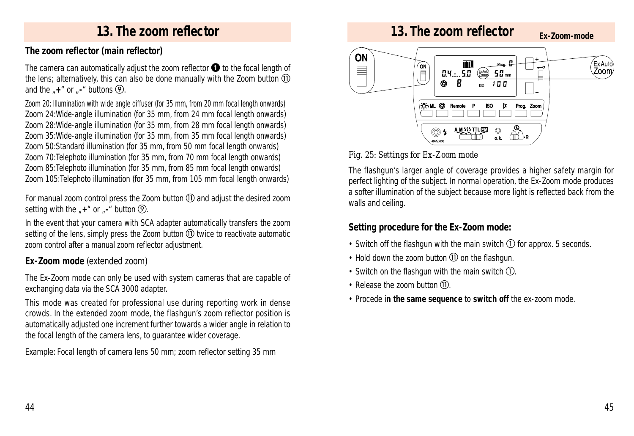## **The zoom reflector (main reflector)**

The camera can automatically adjust the zoom reflector  $\bullet$  to the focal length of the lens; alternatively, this can also be done manually with the Zoom button  $0$ and the  $*$ **+**" or  $*$ **-**" buttons  $\Omega$ .

Zoom 20: Illumination with wide angle diffuser (for 35 mm, from 20 mm focal length onwards) Zoom 24:Wide-angle illumination (for 35 mm, from 24 mm focal length onwards) Zoom 28:Wide-angle illumination (for 35 mm, from 28 mm focal length onwards) Zoom 35:Wide-angle illumination (for 35 mm, from 35 mm focal length onwards) Zoom 50:Standard illumination (for 35 mm, from 50 mm focal length onwards) Zoom 70:Telephoto illumination (for 35 mm, from 70 mm focal length onwards) Zoom 85:Telephoto illumination (for 35 mm, from 85 mm focal length onwards) Zoom 105:Telephoto illumination (for 35 mm, from 105 mm focal length onwards)

For manual zoom control press the Zoom button and adjust the desired zoom setting with the  $#$ +" or  $#$ -" button  $\circled{9}$ .

In the event that your camera with SCA adapter automatically transfers the zoom setting of the lens, simply press the Zoom button twice to reactivate automatic zoom control after a manual zoom reflector adjustment.

## **Ex-Zoom mode** (extended zoom)

The Ex-Zoom mode can only be used with system cameras that are capable of exchanging data via the SCA 3000 adapter.

This mode was created for professional use during reporting work in dense crowds. In the extended zoom mode, the flashgun's zoom reflector position is automatically adjusted one increment further towards a wider angle in relation to the focal length of the camera lens, to guarantee wider coverage.

*Example: Focal length of camera lens 50 mm; zoom reflector setting 35 mm*



## *Fig. 25: Settings for Ex-Zoom mode*

The flashgun's larger angle of coverage provides a higher safety margin for perfect lighting of the subject. In normal operation, the Ex-Zoom mode produces a softer illumination of the subject because more light is reflected back from the walls and ceiling.

## **Setting procedure for the Ex-Zoom mode:**

- Switch off the flashgun with the main switch  $\overline{O}$  for approx. 5 seconds.
- Hold down the zoom button on the flashgun.
- Switch on the flashgun with the main switch  $\Omega$ .
- Release the zoom button  $(1)$ .
- Procede i**n the same sequence** to **switch off** the ex-zoom mode.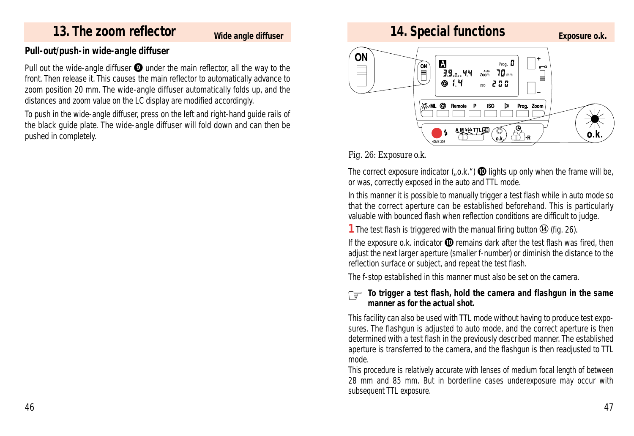# **13. The zoom reflector Exposure o.k. 14. Special functions Exposure o.k.**

#### **Wide angle diffuser**

#### **Pull-out/push-in wide-angle diffuser**

Pull out the wide-angle diffuser  $\bullet$  under the main reflector, all the way to the front. Then release it. This causes the main reflector to automatically advance to zoom position 20 mm. The wide-angle diffuser automatically folds up, and the distances and zoom value on the LC display are modified accordingly.

To push in the wide-angle diffuser, press on the left and right-hand guide rails of the black guide plate. The wide-angle diffuser will fold down and can then be pushed in completely.



#### *Fig. 26: Exposure o.k.*

The correct exposure indicator ("o.k.")  $\bullet$  lights up only when the frame will be, or was, correctly exposed in the auto and TTL mode.

In this manner it is possible to manually trigger a test flash while in auto mode so that the correct aperture can be established beforehand. This is particularly valuable with bounced flash when reflection conditions are difficult to judge.

**1** The test flash is triggered with the manual firing button **(4)** (fig. 26).

If the exposure o.k. indicator  $\Phi$  remains dark after the test flash was fired, then adjust the next larger aperture (smaller f-number) or diminish the distance to the reflection surface or subject, and repeat the test flash.

The f-stop established in this manner must also be set on the camera.

#### *To trigger a test flash, hold the camera and flashgun in the same*<br>manner as for the actual shot *manner as for the actual shot.*

This facility can also be used with TTL mode without having to produce test exposures. The flashgun is adjusted to auto mode, and the correct aperture is then determined with a test flash in the previously described manner. The established aperture is transferred to the camera, and the flashgun is then readjusted to TTL mode.

This procedure is relatively accurate with lenses of medium focal length of between 28 mm and 85 mm. But in borderline cases underexposure may occur with subsequent TTL exposure.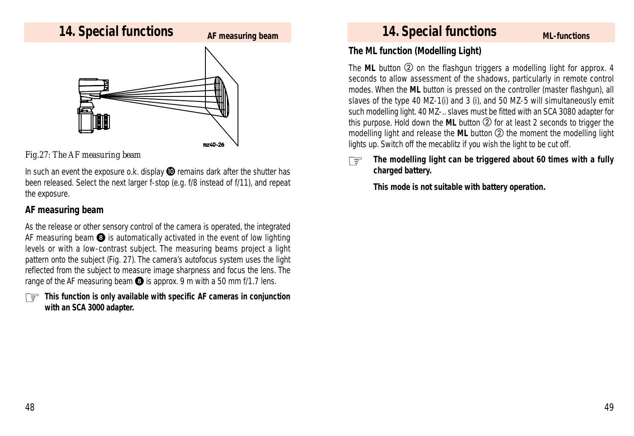

#### *Fig.27: The AF measuring beam*

In such an event the exposure o.k. display  $\Phi$  remains dark after the shutter has been released. Select the next larger f-stop (e.g. f/8 instead of f/11), and repeat the exposure.

#### **AF measuring beam**

As the release or other sensory control of the camera is operated, the integrated AF measuring beam  $\odot$  is automatically activated in the event of low lighting levels or with a low-contrast subject. The measuring beams project a light pattern onto the subject (Fig. 27). The camera's autofocus system uses the light reflected from the subject to measure image sharpness and focus the lens. The range of the AF measuring beam  $\odot$  is approx. 9 m with a 50 mm f/1.7 lens.

*This function is only available with specific AF cameras in conjunction* ☞*with an SCA 3000 adapter.*

#### **The ML function (Modelling Light)**

The ML button **②** on the flashgun triggers a modelling light for approx. 4 seconds to allow assessment of the shadows, particularly in remote control modes. When the **ML** button is pressed on the controller (master flashgun), all slaves of the type 40 MZ-1(i) and 3 (i), and 50 MZ-5 will simultaneously emit such modelling light. 40 MZ-.. slaves must be fitted with an SCA 3080 adapter for this purpose. Hold down the **ML** button  $\oslash$  for at least 2 seconds to trigger the modelling light and release the ML button  $\oslash$  the moment the modelling light lights up. Switch off the mecablitz if you wish the light to be cut off.

#### *The modelling light can be triggered about 60 times with a fully charged battery.* ☞

*This mode is not suitable with battery operation.*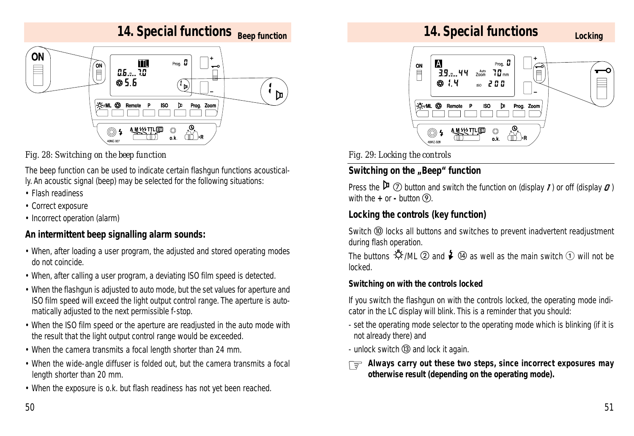

#### *Fig. 28: Switching on the beep function*

The beep function can be used to indicate certain flashgun functions acoustically. An acoustic signal (beep) may be selected for the following situations:

- Flash readiness
- Correct exposure
- Incorrect operation (alarm)

## **An intermittent beep signalling alarm sounds:**

- When, after loading a user program, the adjusted and stored operating modes do not coincide.
- When, after calling a user program, a deviating ISO film speed is detected.
- When the flashgun is adjusted to auto mode, but the set values for aperture and ISO film speed will exceed the light output control range. The aperture is automatically adjusted to the next permissible f-stop.
- When the ISO film speed or the aperture are readjusted in the auto mode with the result that the light output control range would be exceeded.
- When the camera transmits a focal length shorter than 24 mm.
- When the wide-angle diffuser is folded out, but the camera transmits a focal length shorter than 20 mm.
- When the exposure is o.k. but flash readiness has not yet been reached.



*Fig. 29: Locking the controls*

## **Switching on the "Beep" function**

Press the  $\mathfrak{p}_{\mathcal{D}}(\mathfrak{D})$  button and switch the function on (display  $\mathfrak{I}$ ) or off (display  $\mathfrak{O}$ ) with the  $+$  or  $-$  button  $\Omega$ .

## **Locking the controls (key function)**

Switch <sup>(®</sup> locks all buttons and switches to prevent inadvertent readjustment during flash operation.

The buttons  $\mathfrak{D}$ /ML  $\mathfrak D$  and  $\mathfrak F$   $\mathfrak A$  as well as the main switch  $\mathfrak D$  will not be locked.

#### **Switching on with the controls locked**

If you switch the flashgun on with the controls locked, the operating mode indicator in the LC display will blink. This is a reminder that you should:

- set the operating mode selector to the operating mode which is blinking (if it is not already there) and
- unlock switch  $\circled{3}$  and lock it again.
- Always carry out these two steps, since incorrect exposures may
othorwise result (depending an the aperating mode) *otherwise result (depending on the operating mode).*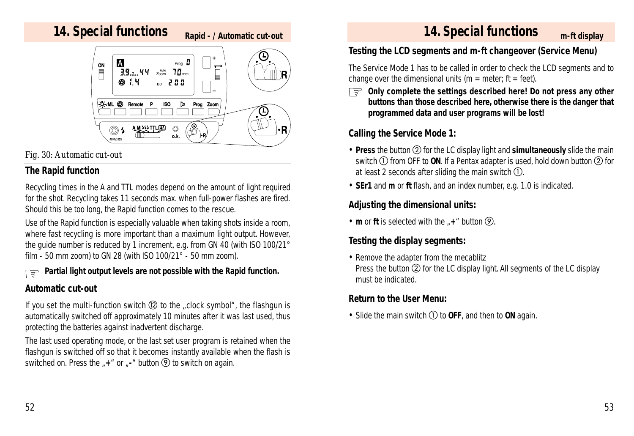# **14. Special functions m-ft display**

**Rapid - / Automatic cut-out**



#### *Fig. 30: Automatic cut-out*

#### **The Rapid function**

Recycling times in the A and TTL modes depend on the amount of light required for the shot. Recycling takes 11 seconds max. when full-power flashes are fired. Should this be too long, the Rapid function comes to the rescue.

Use of the Rapid function is especially valuable when taking shots inside a room, where fast recycling is more important than a maximum light output. However, the guide number is reduced by 1 increment, e.g. from GN 40 (with ISO 100/21° film - 50 mm zoom) to GN 28 (with ISO 100/21° - 50 mm zoom).

# *Partial light output levels are not possible with the Rapid function.* ☞

#### **Automatic cut-out**

If you set the multi-function switch  $\circledR$  to the "clock symbol", the flashgun is automatically switched off approximately 10 minutes after it was last used, thus protecting the batteries against inadvertent discharge.

The last used operating mode, or the last set user program is retained when the flashgun is switched off so that it becomes instantly available when the flash is switched on. Press the  $*$  +  $*$  or  $*$  **button**  $\circledR$  to switch on again.

## **14. Special functions**

## **Testing the LCD segments and m-ft changeover (Service Menu)**

The Service Mode 1 has to be called in order to check the LCD segments and to change over the dimensional units ( $m =$  meter; ft = feet).

*Only complete the settings described here! Do not press any other* ☞ *buttons than those described here, otherwise there is the danger that programmed data and user programs will be lost!*

## **Calling the Service Mode 1:**

- **Press** the button  $\Omega$  for the LC display light and **simultaneously** slide the main switch  $\textcircled{1}$  from OFF to ON. If a Pentax adapter is used, hold down button  $\textcircled{2}$  for at least 2 seconds after sliding the main switch  $\mathbb{O}$ .
- **SEr1** and **m** or **ft** flash, and an index number, e.g. 1.0 is indicated.

## **Adjusting the dimensional units:**

• **m** or **ft** is selected with the  $*$ + " button  $\Theta$ .

## **Testing the display segments:**

• Remove the adapter from the mecablitz Press the button  $(2)$  for the LC display light. All segments of the LC display must be indicated.

## **Return to the User Menu:**

• Slide the main switch  $\textcircled{1}$  to **OFF**, and then to **ON** again.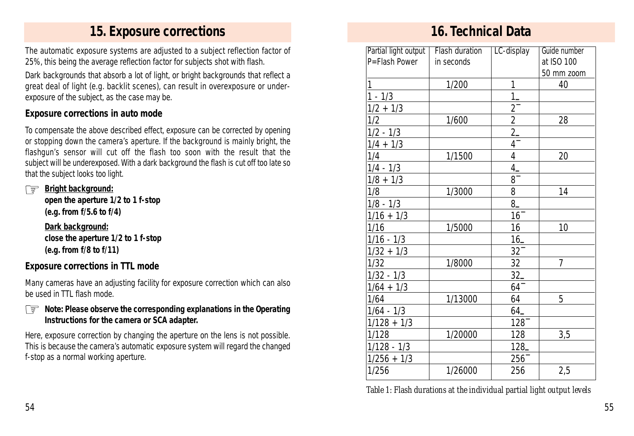## **15. Exposure corrections 16. Technical Data**

The automatic exposure systems are adjusted to a subject reflection factor of 25%, this being the average reflection factor for subjects shot with flash.

Dark backgrounds that absorb a lot of light, or bright backgrounds that reflect a great deal of light (e.g. backlit scenes), can result in overexposure or underexposure of the subject, as the case may be.

#### **Exposure corrections in auto mode**

To compensate the above described effect, exposure can be corrected by opening or stopping down the camera's aperture. If the background is mainly bright, the flashgun's sensor will cut off the flash too soon with the result that the subject will be underexposed. With a dark background the flash is cut off too late so that the subject looks too light.

*Bright background:* ☞

*open the aperture 1/2 to 1 f-stop (e.g. from f/5.6 to f/4)*

*Dark background: close the aperture 1/2 to 1 f-stop*

*(e.g. from f/8 to f/11)*

#### **Exposure corrections in TTL mode**

Many cameras have an adjusting facility for exposure correction which can also be used in TTL flash mode.

## *Note: Please observe the corresponding explanations in the Operating* ☞ *Instructions for the camera or SCA adapter.*

Here, exposure correction by changing the aperture on the lens is not possible. This is because the camera's automatic exposure system will regard the changed f-stop as a normal working aperture.

| Partial light output | Flash duration | LC-display             | Guide number   |
|----------------------|----------------|------------------------|----------------|
| P=Flash Power        | in seconds     |                        | at ISO 100     |
|                      |                |                        | 50 mm zoom     |
| 1                    | 1/200          | 1                      | 40             |
| $1 - 1/3$            |                | $1-$                   |                |
| $1/2 + 1/3$          |                | $\overline{2}$         |                |
| 1/2                  | 1/600          |                        | 28             |
| $1/2 - 1/3$          |                | $\frac{2}{2}$          |                |
| $1/4 + 1/3$          |                | $\overline{4}^{-}_{-}$ |                |
| 1/4                  | 1/1500         | $\overline{4}$         | 20             |
| $1/4 - 1/3$          |                | $\overline{4}$         |                |
| $1/8 + 1/3$          |                | $8-$                   |                |
| 1/8                  | 1/3000         | 8                      | 14             |
| $1/8 - 1/3$          |                | $8-$                   |                |
| $1/16 + 1/3$         |                | $16^{-}$               |                |
| 1/16                 | 1/5000         | 16                     | 10             |
| $1/16 - 1/3$         |                | $16 -$                 |                |
| $1/32 + 1/3$         |                | $32^{-}$               |                |
| 1/32                 | 1/8000         | 32                     | $\overline{7}$ |
| $1/32 - 1/3$         |                | $32-$                  |                |
| $1/64 + 1/3$         |                | $64^{-}$               |                |
| 1/64                 | 1/13000        | 64                     | 5              |
| $1/64 - 1/3$         |                | $64-$                  |                |
| $1/128 + 1/3$        |                | $128^{-}$              |                |
| 1/128                | 1/20000        | 128                    | 3,5            |
| $1/128 - 1/3$        |                | 128                    |                |
| $1/256 + 1/3$        |                | $256^{-}$              |                |
| 1/256                | 1/26000        | 256                    | 2,5            |

*Table 1: Flash durations at the individual partial light output levels*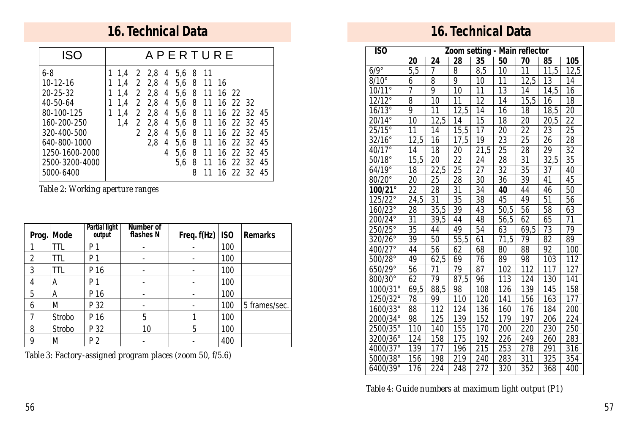## **16. Technical Data 16. Technical Data**

| <b>ISO</b>                                                                                    |                                        |                    |                                                                |                  | <b>APERTURE</b>                  |     |                                                                                                             |                                                 |  |
|-----------------------------------------------------------------------------------------------|----------------------------------------|--------------------|----------------------------------------------------------------|------------------|----------------------------------|-----|-------------------------------------------------------------------------------------------------------------|-------------------------------------------------|--|
| $6 - 8$<br>$10 - 12 - 16$<br>20-25-32<br>40-50-64<br>80-100-125<br>160-200-250<br>320-400-500 | 1.4<br>1.4<br>1.4<br>1.4<br>1.4<br>1.4 | 2<br>$\mathcal{P}$ | 2 2,8 4<br>$2\;\;2.8\;\;4$<br>$2^{2.8}$<br>2 2.8<br>2.8<br>2.8 | 4<br>4<br>4<br>4 | 5,6 8 11<br>2 2.8 4 5.6 8 11 16  |     | 5,6 8 11 16 22<br>5,6 8 11 16 22 32<br>5,6 8 11 16 22 32 45<br>5,6 8 11 16 22 32 45<br>5.6 8 11 16 22 32 45 |                                                 |  |
| 640-800-1000<br>1250-1600-2000<br>2500-3200-4000<br>5000-6400                                 |                                        |                    | 2.8                                                            | 4<br>4           | 5.6 <sub>8</sub><br>5.6 8<br>5.6 | - 8 | 11 16 22 32 45<br>11                                                                                        | 11 16 22 32 45<br>11 16 22 32 45<br>16 22 32 45 |  |

*Table 2: Working aperture ranges*

| Prog.          | Mode   | Partial light<br>output | Number of<br>flashes N | Freq. f(Hz) | ISO | <b>Remarks</b> |
|----------------|--------|-------------------------|------------------------|-------------|-----|----------------|
|                | TTL    | P 1                     |                        |             | 100 |                |
| $\overline{2}$ | ШL     | P 1                     |                        |             | 100 |                |
| 3              | TTL    | P 16                    |                        |             | 100 |                |
| 4              | A      | P 1                     |                        |             | 100 |                |
| 5              | А      | P 16                    |                        |             | 100 |                |
| 6              | M      | P 32                    |                        |             | 100 | 5 frames/sec.  |
| 7              | Strobo | P 16                    | 5                      |             | 100 |                |
| 8              | Strobo | P 32                    | 10                     | 5           | 100 |                |
| 9              | M      | P 2                     |                        |             | 400 |                |

*Table 3: Factory-assigned program places (zoom 50, f/5.6)*

| $\overline{150}$  | Zoom setting - Main reflector |                   |      |                 |                  |      |      |      |
|-------------------|-------------------------------|-------------------|------|-----------------|------------------|------|------|------|
|                   | 20                            | 24                | 28   | 35              | 50               | 70   | 85   | 105  |
| $6/9^\circ$       | 5,5                           | 7                 | 8    | 8,5             | 10               | 11   | 11,5 | 12,5 |
| $8/10^{\circ}$    | 6                             | 8                 | 9    | 10              | 11               | 12,5 | 13   | 14   |
| $10/11^{\circ}$   | 7                             | 9                 | 10   | 11              | 13               | 14   | 14,5 | 16   |
| $12/12^\circ$     | 8                             | 10                | 11   | $\overline{12}$ | 14               | 15,5 | 16   | 18   |
| $16/13^\circ$     | $\overline{9}$                | $\overline{11}$   | 12,5 | 14              | 16               | 18   | 18,5 | 20   |
| $20/14^{\circ}$   | 10                            | 12,5              | 14   | 15              | 18               | 20   | 20,5 | 22   |
| $25/15^{\circ}$   | 11                            | 14                | 15,5 | 17              | 20               | 22   | 23   | 25   |
| $32/16^{\circ}$   | 12,5                          | 16                | 17,5 | 19              | 23               | 25   | 26   | 28   |
| 40/17°            | 14                            | 18                | 20   | 21,5            | 25               | 28   | 29   | 32   |
| $50/18^{\circ}$   | 15,5                          | 20                | 22   | 24              | 28               | 31   | 32,5 | 35   |
| $64/19^{\circ}$   | 18                            | 22,5              | 25   | $\overline{27}$ | 32               | 35   | 37   | 40   |
| $80/20^{\circ}$   | 20                            | 25                | 28   | 30              | 36               | 39   | 41   | 45   |
| 100/21°           | 22                            | 28                | 31   | 34              | 40               | 44   | 46   | 50   |
| 125/22°           | 24,5                          | 31                | 35   | 38              | 45               | 49   | 51   | 56   |
| 160/23°           | 28                            | 35,5              | 39   | 43              | 50,5             | 56   | 58   | 63   |
| 200/24°           | 31                            | 39,5              | 44   | 48              | 56,5             | 62   | 65   | 71   |
| $250/25^{\circ}$  | 35                            | 44                | 49   | 54              | 63               | 69,5 | 73   | 79   |
| 320/26°           | 39                            | 50                | 55,5 | 61              | 71,5             | 79   | 82   | 89   |
| 400/27°           | 44                            | 56                | 62   | 68              | 80               | 88   | 92   | 100  |
| 500/28°           | 49                            | 62,5              | 69   | 76              | 89               | 98   | 103  | 112  |
| 650/29°           | 56                            | 71                | 79   | 87              | 102              | 112  | 117  | 127  |
| 800/30°           | 62                            | 79                | 87,5 | 96              | 113              | 124  | 130  | 141  |
| $1000/31^{\circ}$ | 69,5                          | 88,5              | 98   | 108             | $\overline{1}26$ | 139  | 145  | 158  |
| 1250/32°          | 78                            | 99                | 110  | 120             | 141              | 156  | 163  | 177  |
| 1600/33°          | 88                            | 112               | 124  | 136             | 160              | 176  | 184  | 200  |
| $2000/34^{\circ}$ | 98                            | 125               | 139  | 152             | 179              | 197  | 206  | 224  |
| 2500/35°          | 110                           | 140               | 155  | 170             | 200              | 220  | 230  | 250  |
| 3200/36°          | 124                           | 158               | 175  | 192             | 226              | 249  | 260  | 283  |
| 4000/37°          | 139                           | $\overline{1}$ 77 | 196  | 215             | 253              | 278  | 291  | 316  |
| 5000/38°          | 156                           | 198               | 219  | 240             | 283              | 311  | 325  | 354  |
| 6400/39°          | 176                           | 224               | 248  | 272             | 320              | 352  | 368  | 400  |

*Table 4: Guide numbers at maximum light output (P1)*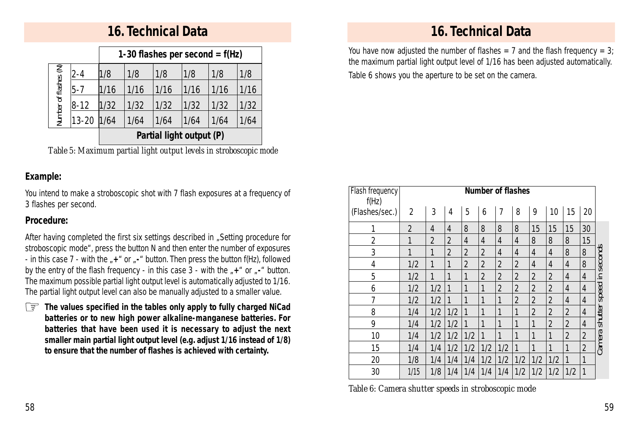## **16. Technical Data**

|                       |           | 1-30 flashes per second = $f(Hz)$ |      |      |      |      |      |  |  |
|-----------------------|-----------|-----------------------------------|------|------|------|------|------|--|--|
| Number of flashes (N) | $2 - 4$   | 1/8                               | 1/8  | 1/8  | 1/8  | 1/8  | 1/8  |  |  |
|                       | 15-7      | 1/16                              | 1/16 | 1/16 | 1/16 | 1/16 | 1/16 |  |  |
|                       | $ 8-12 $  | 1/32                              | 1/32 | 1/32 | 1/32 | 1/32 | 1/32 |  |  |
|                       | $13 - 20$ | 1/64                              | 1/64 | 1/64 | 1/64 | 1/64 | 1/64 |  |  |
|                       |           | Partial light output (P)          |      |      |      |      |      |  |  |

*Table 5: Maximum partial light output levels in stroboscopic mode*

#### **Example:**

You intend to make a stroboscopic shot with 7 flash exposures at a frequency of 3 flashes per second.

#### **Procedure:**

After having completed the first six settings described in "Setting procedure for stroboscopic mode", press the button N and then enter the number of exposures - in this case 7 - with the "+" or "-" button. Then press the button f(Hz), followed by the entry of the flash frequency - in this case 3 - with the  $*$ +" or  $*$ -" button. The maximum possible partial light output level is automatically adjusted to 1/16. The partial light output level can also be manually adjusted to a smaller value.

*The values specified in the tables only apply to fully charged NiCad* ☞ *batteries or to new high power alkaline-manganese batteries. For batteries that have been used it is necessary to adjust the next smaller main partial light output level (e.g. adjust 1/16 instead of 1/8) to ensure that the number of flashes is achieved with certainty.*

## **16. Technical Data**

You have now adjusted the number of flashes = 7 and the flash frequency = 3; the maximum partial light output level of 1/16 has been adjusted automatically. Table 6 shows you the aperture to be set on the camera.

| Flash frequency<br>f(Hz) |              |     |                |     |                |                | <b>Number of flashes</b> |                |                |                |                |         |
|--------------------------|--------------|-----|----------------|-----|----------------|----------------|--------------------------|----------------|----------------|----------------|----------------|---------|
| (Flashes/sec.)           | 2            | 3   | 4              | 5   | 6              | 7              | 8                        | 9              | 10             | 15             | 20             |         |
| 1                        | 2            | 4   | 4              | 8   | 8              | 8              | 8                        | 15             | 15             | 15             | 30             |         |
| 2                        | 1            | 2   | 2              | 4   | $\overline{4}$ | $\overline{4}$ | 4                        | 8              | 8              | 8              | 15             |         |
| 3                        | $\mathbf{1}$ | 1   | $\overline{2}$ | 2   | 2              | $\overline{4}$ | 4                        | 4              | 4              | 8              | 8              | seconds |
| 4                        | 1/2          | 1   | 1              | 2   | $\overline{2}$ | $\overline{2}$ | $\overline{2}$           | 4              | 4              | 4              | 8              |         |
| 5                        | 1/2          | 1   | 1              | 1   | 2              | $\overline{2}$ | $\overline{2}$           | 2              | 2              | 4              | $\overline{4}$ | ≘       |
| 6                        | 1/2          | 1/2 | 1              | 1   | 1              | 2              | $\overline{2}$           | $\overline{2}$ | $\overline{2}$ | 4              | 4              | speed   |
| 7                        | 1/2          | 1/2 | 1              | 1   | 1              | 1              | $\overline{2}$           | $\overline{2}$ | 2              | 4              | $\overline{4}$ |         |
| 8                        | 1/4          | 1/2 | 1/2            | 1   | 1              | 1              | 1                        | $\overline{2}$ | 2              | $\overline{2}$ | $\overline{4}$ | shutter |
| 9                        | 1/4          | 1/2 | 1/2            | 1   | 1              | 1              | 1                        | 1              | 2              | $\overline{2}$ | 4              |         |
| 10                       | 1/4          | 1/2 | 1/2            | 1/2 | 1              | 1              | 1                        | 1              | 1              | 2              | $\overline{2}$ |         |
| 15                       | 1/4          | 1/4 | 1/2            | 1/2 | 1/2            | 1/2            | 1                        | 1              | 1              | 1              | $\overline{2}$ | Camera  |
| 20                       | 1/8          | 1/4 | 1/4            | 1/4 | 1/2            | 1/2            | 1/2                      | 1/2            | 1/2            | 1              | 1              |         |
| 30                       | 1/15         | 1/8 | 1/4            | 1/4 | 1/4            | 1/4            | 1/2                      | 1/2            | 1/2            | 1/2            | $\mathbf{1}$   |         |

*Table 6: Camera shutter speeds in stroboscopic mode*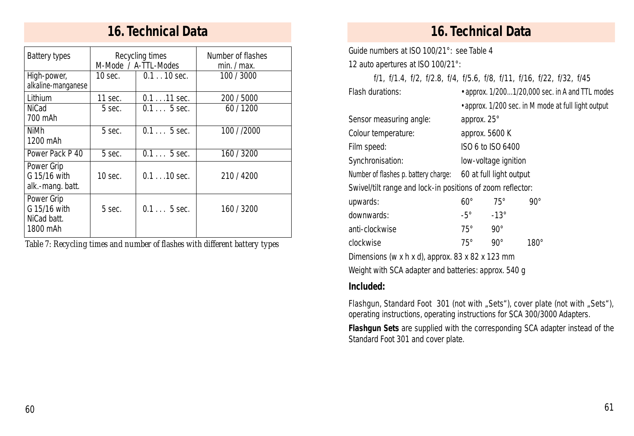## **16. Technical Data 16. Technical Data**

| Battery types                                         |         | Recycling times<br>M-Mode / A-TTL-Modes | Number of flashes<br>min. / max. |
|-------------------------------------------------------|---------|-----------------------------------------|----------------------------------|
| High-power,<br>alkaline-manganese                     | 10 sec. | $0.1$ 10 sec.                           | 100 / 3000                       |
| Lithium                                               | 11 sec. | $0.111$ sec.                            | 200 / 5000                       |
| <b>NiCad</b><br>700 mAh                               | 5 sec.  | $0.15$ sec.                             | 60 / 1200                        |
| NiMh<br>1200 mAh                                      | 5 sec.  | $0.15$ sec.                             | 100 / /2000                      |
| Power Pack P 40                                       | 5 sec.  | $0.15$ sec.                             | 160 / 3200                       |
| Power Grip<br>G 15/16 with<br>alk.-mang. batt.        | 10 sec. | $0.110$ sec.                            | 210/4200                         |
| Power Grip<br>G 15/16 with<br>NiCad batt.<br>1800 mAh | 5 sec.  | $0.15$ sec.                             | 160 / 3200                       |

*Table 7: Recycling times and number of flashes with different battery types*

Guide numbers at ISO 100/21°: see Table 4

12 auto apertures at ISO 100/21°:

f/1, f/1.4, f/2, f/2.8, f/4, f/5.6, f/8, f/11, f/16, f/22, f/32, f/45

| Flash durations:                                           | • approx. 1/2001/20,000 sec. in A and TTL modes |                         |                                                     |  |  |  |
|------------------------------------------------------------|-------------------------------------------------|-------------------------|-----------------------------------------------------|--|--|--|
|                                                            |                                                 |                         | • approx. 1/200 sec. in M mode at full light output |  |  |  |
| Sensor measuring angle:                                    | approx. 25°                                     |                         |                                                     |  |  |  |
| Colour temperature:                                        | approx. 5600 K                                  |                         |                                                     |  |  |  |
| Film speed:                                                | ISO 6 to ISO 6400                               |                         |                                                     |  |  |  |
| Synchronisation:                                           | low-voltage ignition                            |                         |                                                     |  |  |  |
| Number of flashes p. battery charge:                       |                                                 | 60 at full light output |                                                     |  |  |  |
| Swivel/tilt range and lock-in positions of zoom reflector: |                                                 |                         |                                                     |  |  |  |
| upwards:                                                   | $60^{\circ}$                                    | $75^\circ$              | $90^{\circ}$                                        |  |  |  |
| downwards:                                                 | $-5^{\circ}$                                    | $-13^\circ$             |                                                     |  |  |  |
| anti-clockwise                                             | $75^\circ$                                      | $90^{\circ}$            |                                                     |  |  |  |
| clockwise                                                  | $75^\circ$                                      | $90^{\circ}$            | $180^\circ$                                         |  |  |  |
| Dimensions (w x h x d), approx. 83 x 82 x 123 mm           |                                                 |                         |                                                     |  |  |  |
|                                                            |                                                 |                         |                                                     |  |  |  |

Weight with SCA adapter and batteries: approx. 540 g

### **Included:**

Flashgun, Standard Foot 301 (not with "Sets"), cover plate (not with "Sets"), operating instructions, operating instructions for SCA 300/3000 Adapters.

*Flashgun Sets* are supplied with the corresponding SCA adapter instead of the Standard Foot 301 and cover plate.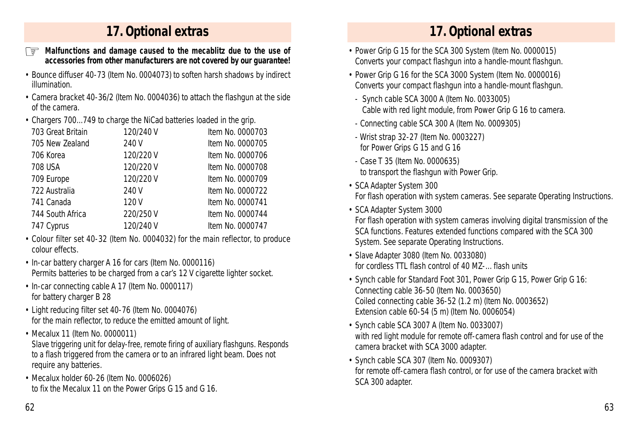# **17. Optional extras 17. Optional extras**

- *Malfunctions and damage caused to the mecablitz due to the use of*  ☞ Power Grip G 15 for the SCA 300 System (Item No. 0000015) *accessories from other manufacturers are not covered by our guarantee!*
- Bounce diffuser 40-73 (Item No. 0004073) to soften harsh shadows by indirect illumination.
- Camera bracket 40-36/2 (Item No. 0004036) to attach the flashgun at the side of the camera.
- Chargers 700...749 to charge the NiCad batteries loaded in the grip.

| 703 Great Britain | 120/240 V | Item No. 0000703 |
|-------------------|-----------|------------------|
| 705 New Zealand   | 240 V     | Item No. 0000705 |
| 706 Korea         | 120/220 V | Item No. 0000706 |
| 708 USA           | 120/220 V | Item No. 0000708 |
| 709 Europe        | 120/220 V | Item No. 0000709 |
| 722 Australia     | 240 V     | Item No. 0000722 |
| 741 Canada        | 120 V     | Item No. 0000741 |
| 744 South Africa  | 220/250V  | Item No. 0000744 |
| 747 Cyprus        | 120/240 V | Item No. 0000747 |
|                   |           |                  |

- Colour filter set 40-32 (Item No. 0004032) for the main reflector, to produce colour effects.
- In-car battery charger A 16 for cars (Item No. 0000116) Permits batteries to be charged from a car's 12 V cigarette lighter socket.
- In-car connecting cable A 17 (Item No. 0000117) for battery charger B 28
- Light reducing filter set 40-76 (Item No. 0004076) for the main reflector, to reduce the emitted amount of light.
- Mecalux 11 (Item No. 0000011)

Slave triggering unit for delay-free, remote firing of auxiliary flashguns. Responds to a flash triggered from the camera or to an infrared light beam. Does not require any batteries.

• Mecalux holder 60-26 (Item No. 0006026) to fix the Mecalux 11 on the Power Grips G 15 and G 16.

- Converts your compact flashgun into a handle-mount flashgun.
- Power Grip G 16 for the SCA 3000 System (Item No. 0000016) Converts your compact flashgun into a handle-mount flashgun.
- Synch cable SCA 3000 A (Item No. 0033005) Cable with red light module, from Power Grip G 16 to camera.
- Connecting cable SCA 300 A (Item No. 0009305)
- Wrist strap 32-27 (Item No. 0003227) for Power Grips G 15 and G 16
- Case T 35 (Item No. 0000635) to transport the flashgun with Power Grip.
- SCA Adapter System 300 For flash operation with system cameras. See separate Operating Instructions.
- SCA Adapter System 3000

For flash operation with system cameras involving digital transmission of the SCA functions. Features extended functions compared with the SCA 300 System. See separate Operating Instructions.

- Slave Adapter 3080 (Item No. 0033080) for cordless TTL flash control of 40 MZ- flash units
- Synch cable for Standard Foot 301, Power Grip G 15, Power Grip G 16: Connecting cable 36-50 (Item No. 0003650) Coiled connecting cable 36-52 (1.2 m) (Item No. 0003652) Extension cable 60-54 (5 m) (Item No. 0006054)
- Synch cable SCA 3007 A (Item No. 0033007) with red light module for remote off-camera flash control and for use of the camera bracket with SCA 3000 adapter.
- Synch cable SCA 307 (Item No. 0009307) for remote off-camera flash control, or for use of the camera bracket with SCA 300 adapter.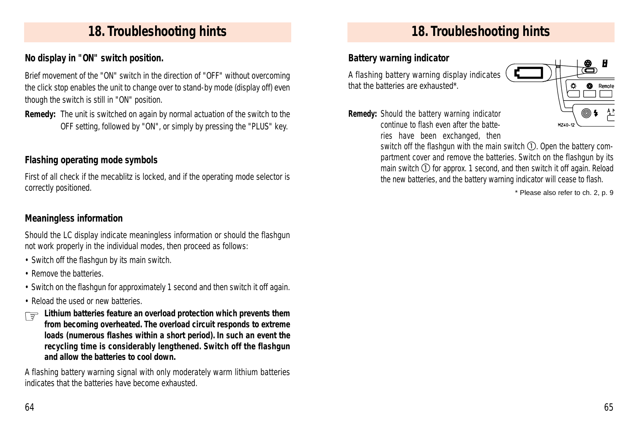# **18. Troubleshooting hints 18. Troubleshooting hints**

#### **No display in "ON" switch position.**

Brief movement of the "ON" switch in the direction of "OFF" without overcoming the click stop enables the unit to change over to stand-by mode (display off) even though the switch is still in "ON" position.

*Remedy:* The unit is switched on again by normal actuation of the switch to the OFF setting, followed by "ON", or simply by pressing the "PLUS" key.

## **Flashing operating mode symbols**

First of all check if the mecablitz is locked, and if the operating mode selector is correctly positioned.

#### **Meaningless information**

Should the LC display indicate meaningless information or should the flashgun not work properly in the individual modes, then proceed as follows:

- Switch off the flashgun by its main switch.
- Remove the batteries.
- Switch on the flashgun for approximately 1 second and then switch it off again.
- Reload the used or new batteries.
- Lithium batteries feature an overload protection which prevents them<br>from becoming overheated. The overload circuit responds to extreme *from becoming overheated. The overload circuit responds to extreme loads (numerous flashes within a short period). In such an event the recycling time is considerably lengthened. Switch off the flashgun and allow the batteries to cool down.*

A flashing battery warning signal with only moderately warm lithium batteries indicates that the batteries have become exhausted.

## **Battery warning indicator**

A flashing battery warning display indicates that the batteries are exhausted\*.

*Remedy:* Should the battery warning indicator continue to flash even after the batteries have been exchanged, then



switch off the flashgun with the main switch  $(1)$ . Open the battery compartment cover and remove the batteries. Switch on the flashgun by its main switch  $\odot$  for approx. 1 second, and then switch it off again. Reload the new batteries, and the battery warning indicator will cease to flash.

\* Please also refer to ch. 2, p. 9